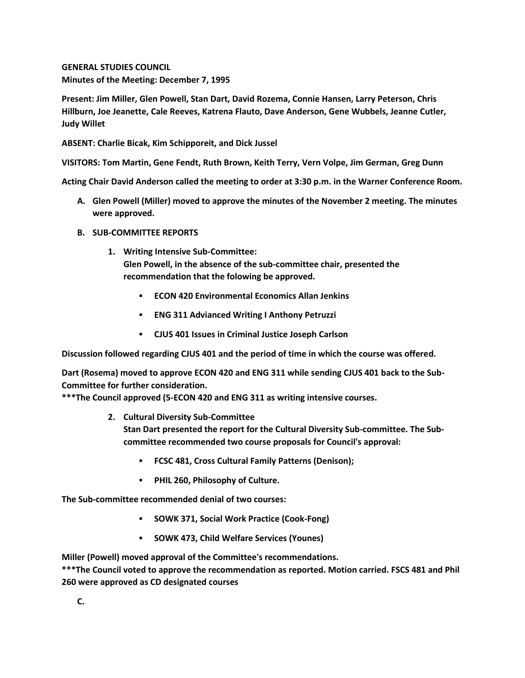**GENERAL STUDIES COUNCIL Minutes of the Meeting: December 7, 1995**

**Present: Jim Miller, Glen Powell, Stan Dart, David Rozema, Connie Hansen, Larry Peterson, Chris Hillburn, Joe Jeanette, Cale Reeves, Katrena Flauto, Dave Anderson, Gene Wubbels, Jeanne Cutler, Judy Willet**

**ABSENT: Charlie Bicak, Kim Schipporeit, and Dick Jussel**

**VISITORS: Tom Martin, Gene Fendt, Ruth Brown, Keith Terry, Vern Volpe, Jim German, Greg Dunn**

**Acting Chair David Anderson called the meeting to order at 3:30 p.m. in the Warner Conference Room.**

- **A. Glen Powell (Miller) moved to approve the minutes of the November 2 meeting. The minutes were approved.**
- **B. SUB-COMMITTEE REPORTS**
	- **1. Writing Intensive Sub-Committee: Glen Powell, in the absence of the sub-committee chair, presented the recommendation that the folowing be approved.** 
		- **ECON 420 Environmental Economics Allan Jenkins**
		- **ENG 311 Advianced Writing I Anthony Petruzzi**
		- **CJUS 401 Issues in Criminal Justice Joseph Carlson**

**Discussion followed regarding CJUS 401 and the period of time in which the course was offered.** 

**Dart (Rosema) moved to approve ECON 420 and ENG 311 while sending CJUS 401 back to the Sub-Committee for further consideration.**

**\*\*\*The Council approved (5-ECON 420 and ENG 311 as writing intensive courses.**

**2. Cultural Diversity Sub-Committee**

**Stan Dart presented the report for the Cultural Diversity Sub-committee. The Subcommittee recommended two course proposals for Council's approval:** 

- **FCSC 481, Cross Cultural Family Patterns (Denison);**
- **PHIL 260, Philosophy of Culture.**

**The Sub-committee recommended denial of two courses:**

- **SOWK 371, Social Work Practice (Cook-Fong)**
- **SOWK 473, Child Welfare Services (Younes)**

**Miller (Powell) moved approval of the Committee's recommendations.**

**\*\*\*The Council voted to approve the recommendation as reported. Motion carried. FSCS 481 and Phil 260 were approved as CD designated courses**